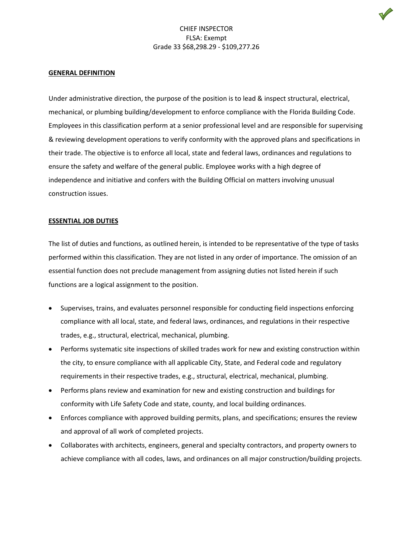#### **GENERAL DEFINITION**

Under administrative direction, the purpose of the position is to lead & inspect structural, electrical, mechanical, or plumbing building/development to enforce compliance with the Florida Building Code. Employees in this classification perform at a senior professional level and are responsible for supervising & reviewing development operations to verify conformity with the approved plans and specifications in their trade. The objective is to enforce all local, state and federal laws, ordinances and regulations to ensure the safety and welfare of the general public. Employee works with a high degree of independence and initiative and confers with the Building Official on matters involving unusual construction issues.

#### **ESSENTIAL JOB DUTIES**

The list of duties and functions, as outlined herein, is intended to be representative of the type of tasks performed within this classification. They are not listed in any order of importance. The omission of an essential function does not preclude management from assigning duties not listed herein if such functions are a logical assignment to the position.

- Supervises, trains, and evaluates personnel responsible for conducting field inspections enforcing compliance with all local, state, and federal laws, ordinances, and regulations in their respective trades, e.g., structural, electrical, mechanical, plumbing.
- Performs systematic site inspections of skilled trades work for new and existing construction within the city, to ensure compliance with all applicable City, State, and Federal code and regulatory requirements in their respective trades, e.g., structural, electrical, mechanical, plumbing.
- Performs plans review and examination for new and existing construction and buildings for conformity with Life Safety Code and state, county, and local building ordinances.
- Enforces compliance with approved building permits, plans, and specifications; ensures the review and approval of all work of completed projects.
- Collaborates with architects, engineers, general and specialty contractors, and property owners to achieve compliance with all codes, laws, and ordinances on all major construction/building projects.

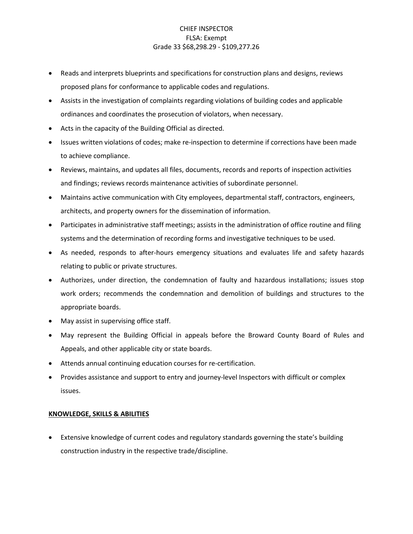- Reads and interprets blueprints and specifications for construction plans and designs, reviews proposed plans for conformance to applicable codes and regulations.
- Assists in the investigation of complaints regarding violations of building codes and applicable ordinances and coordinates the prosecution of violators, when necessary.
- Acts in the capacity of the Building Official as directed.
- Issues written violations of codes; make re-inspection to determine if corrections have been made to achieve compliance.
- Reviews, maintains, and updates all files, documents, records and reports of inspection activities and findings; reviews records maintenance activities of subordinate personnel.
- Maintains active communication with City employees, departmental staff, contractors, engineers, architects, and property owners for the dissemination of information.
- Participates in administrative staff meetings; assists in the administration of office routine and filing systems and the determination of recording forms and investigative techniques to be used.
- As needed, responds to after-hours emergency situations and evaluates life and safety hazards relating to public or private structures.
- Authorizes, under direction, the condemnation of faulty and hazardous installations; issues stop work orders; recommends the condemnation and demolition of buildings and structures to the appropriate boards.
- May assist in supervising office staff.
- May represent the Building Official in appeals before the Broward County Board of Rules and Appeals, and other applicable city or state boards.
- Attends annual continuing education courses for re-certification.
- Provides assistance and support to entry and journey-level Inspectors with difficult or complex issues.

### **KNOWLEDGE, SKILLS & ABILITIES**

• Extensive knowledge of current codes and regulatory standards governing the state's building construction industry in the respective trade/discipline.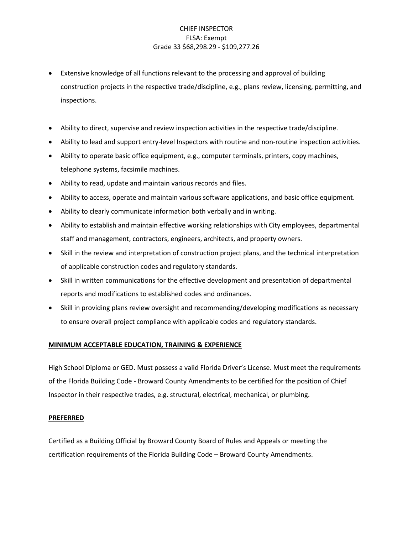- Extensive knowledge of all functions relevant to the processing and approval of building construction projects in the respective trade/discipline, e.g., plans review, licensing, permitting, and inspections.
- Ability to direct, supervise and review inspection activities in the respective trade/discipline.
- Ability to lead and support entry-level Inspectors with routine and non-routine inspection activities.
- Ability to operate basic office equipment, e.g., computer terminals, printers, copy machines, telephone systems, facsimile machines.
- Ability to read, update and maintain various records and files.
- Ability to access, operate and maintain various software applications, and basic office equipment.
- Ability to clearly communicate information both verbally and in writing.
- Ability to establish and maintain effective working relationships with City employees, departmental staff and management, contractors, engineers, architects, and property owners.
- Skill in the review and interpretation of construction project plans, and the technical interpretation of applicable construction codes and regulatory standards.
- Skill in written communications for the effective development and presentation of departmental reports and modifications to established codes and ordinances.
- Skill in providing plans review oversight and recommending/developing modifications as necessary to ensure overall project compliance with applicable codes and regulatory standards.

### **MINIMUM ACCEPTABLE EDUCATION, TRAINING & EXPERIENCE**

High School Diploma or GED. Must possess a valid Florida Driver's License. Must meet the requirements of the Florida Building Code - Broward County Amendments to be certified for the position of Chief Inspector in their respective trades, e.g. structural, electrical, mechanical, or plumbing.

#### **PREFERRED**

Certified as a Building Official by Broward County Board of Rules and Appeals or meeting the certification requirements of the Florida Building Code – Broward County Amendments.